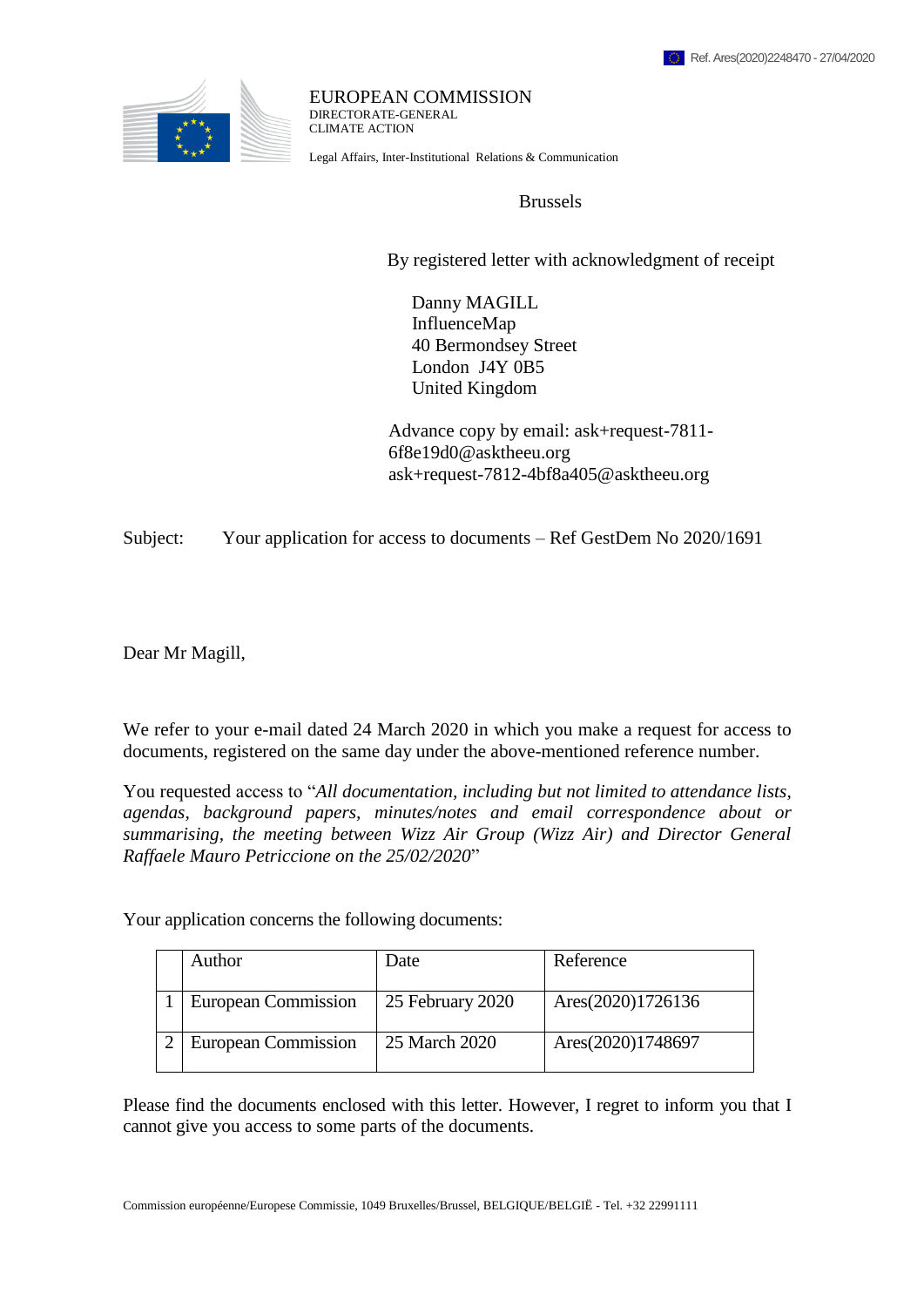

EUROPEAN COMMISSION DIRECTORATE-GENERAL CLIMATE ACTION

Legal Affairs, Inter-Institutional Relations & Communication

Brussels

By registered letter with acknowledgment of receipt

 Danny MAGILL InfluenceMap 40 Bermondsey Street London J4Y 0B5 United Kingdom

 Advance copy by email: ask+request-7811- 6f8e19d0@asktheeu.org ask+request-7812-4bf8a405@asktheeu.org

Subject: Your application for access to documents – Ref GestDem No 2020/1691

Dear Mr Magill,

We refer to your e-mail dated 24 March 2020 in which you make a request for access to documents, registered on the same day under the above-mentioned reference number.

You requested access to "*All documentation, including but not limited to attendance lists, agendas, background papers, minutes/notes and email correspondence about or summarising, the meeting between Wizz Air Group (Wizz Air) and Director General Raffaele Mauro Petriccione on the 25/02/2020*"

Your application concerns the following documents:

| Author              | Date             | Reference         |
|---------------------|------------------|-------------------|
| European Commission | 25 February 2020 | Ares(2020)1726136 |
| European Commission | 25 March 2020    | Ares(2020)1748697 |

Please find the documents enclosed with this letter. However, I regret to inform you that I cannot give you access to some parts of the documents.